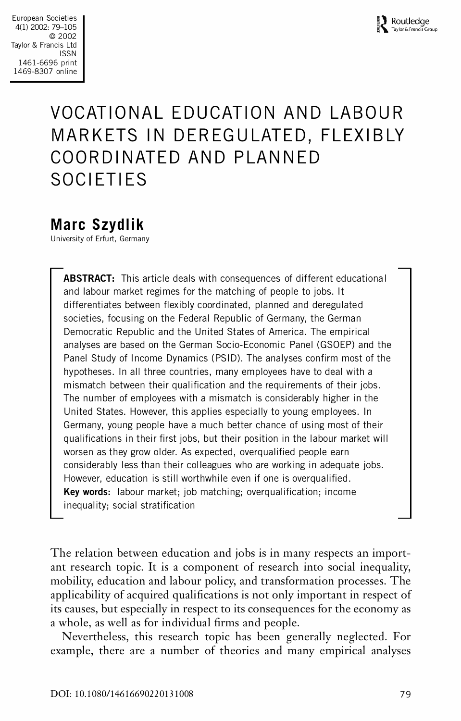# VOCATIONAL EDUCATION AND LABOUR MARKETS IN DEREGULATED, FLEXIBLY COORDINATED AND PLANNED SOCIETIES

## **Marc Szydlik**

University of Erfurt, Germany

**ABSTRACT:** This article deals with consequences of different educational and labour market regimes for the matching of people to jobs. It differentiates between flexibly coordinated, planned and deregulated societies, focusing on the Federal Republic of Germany, the German Democratic Republic and the United States of America. The empirical analyses are based on the German Socio-Economic Panel (GSOEP) and the Panel Study of Income Dynamics (PSID). The analyses confirm most of the hypotheses. In all three countries, many employees have to deal with a mismatch between their qualification and the requirements of their jobs. The number of employees with a mismatch is considerably higher in the United States. However, this applies especially to young employees. In Germany, young people have a much better chance of using most of their qualifications in their first jobs, but their position in the labour market will worsen as they grow older. As expected, overqualified people earn considerably less than their colleagues who are working in adequate jobs. However, education is still worthwhile even if one is overqualified. **Key words:** labour market; job matching; overqualification; income inequality; social stratification

The relation between education and jobs is in many respects an import ant research topic. It is a component of research into social inequality, mobility, education and labour policy, and transformation processes. The applicability of acquired qualifications is not only important in respect of its causes, but especially in respect to its consequences for the economy as a whole, as well as for individual firms and people.

Nevertheless, this research topic has been generally neglected. For example, there are a number of theories and many empirical analyses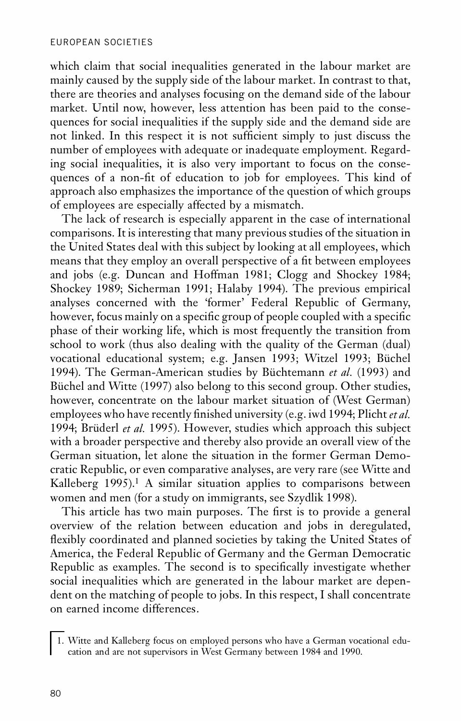which claim that social inequalities generated in the labour market are mainly caused by the supply side of the labour market. In contrast to that, there are theories and analyses focusing on the demand side of the labour market. Until now, however, less attention has been paid to the conse quences for social inequalities if the supply side and the demand side are not linked. In this respect it is not sufficient simply to just discuss the number of employees with adequate or inadequate employment. Regarding social inequalities, it is also very important to focus on the conse quences of a non-fit of education to job for employees. This kind of approach also emphasizes the importance of the question of which groups of employees are especially affected by a mismatch.

The lack of research is especially apparent in the case of international comparisons. It is interesting that many previous studies of the situation in the United States deal with this subject by looking at all employees, which means that they employ an overall perspective of a fit between employees and jobs (e.g. Duncan and Hoffman 1981; Clogg and Shockey 1984; Shockey 1989; Sicherman 1991; Halaby 1994). The previous empirical analyses concerned with the 'former' Federal Republic of Germany, however, focus mainly on a specific group of people coupled with a specific phase of their working life, which is most frequently the transition from school to work (thus also dealing with the quality of the German (dual) vocational educational system; e.g. Jansen 1993; Witzel 1993; Büchel 1994). The German-American studies by Büchtemann *et al.* (1993) and Büchel and Witte (1997) also belong to this second group. Other studies, however, concentrate on the labour market situation of (West German) employees who have recently finished university (e.g. iwd 1994; Plicht *et al.*) 1994; Brüderl *et al.* 1995). However, studies which approach this subject with a broader perspective and thereby also provide an overall view of the German situation, let alone the situation in the former German Demo cratic Republic, or even comparative analyses, are very rare (see Witte and Kalleberg 1995).<sup>1</sup> A similar situation applies to comparisons between women and men (for a study on immigrants, see Szydlik 1998).

This article has two main purposes. The first is to provide a general overview of the relation between education and jobs in deregulated, flexibly coordinated and planned societies by taking the United States of America, the Federal Republic of Germany and the German Democratic Republic as examples. The second is to specifically investigate whether social inequalities which are generated in the labour market are depen dent on the matching of people to jobs. In this respect, I shall concentrate on earned income differences.

1. Witte and Kalleberg focus on employed persons who have a German vocational edu cation and are not supervisors in West Germany between 1984 and 1990.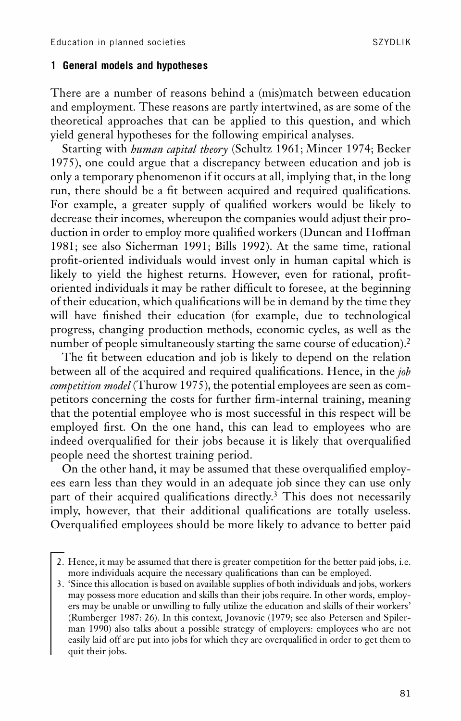#### **1 General models and hypotheses**

There are a number of reasons behind a (mis)match between education and employment. These reasons are partly intertwined, as are some of the theoretical approaches that can be applied to this question, and which yield general hypotheses for the following empirical analyses.

Starting with *human capital theory* (Schultz 1961; Mincer 1974; Becker 1975), one could argue that a discrepancy between education and job is only a temporary phenomenon if it occurs at all, implying that, in the long run, there should be a fit between acquired and required qualifications. For example, a greater supply of qualified workers would be likely to decrease their incomes, whereupon the companies would adjust their pro duction in order to employ more qualified workers (Duncan and Hoffman 1981; see also Sicherman 1991; Bills 1992). At the same time, rational profit-oriented individuals would invest only in human capital which is likely to yield the highest returns. However, even for rational, profitoriented individuals it may be rather difficult to foresee, at the beginning of their education, which qualifications will be in demand by the time they will have finished their education (for example, due to technological progress, changing production methods, economic cycles, as well as the number of people simultaneously starting the same course of education).<sup>2</sup>

The fit between education and job is likely to depend on the relation between all of the acquired and required qualifications. Hence, in the *job competition model* (Thurow 1975), the potential employees are seen as com petitors concerning the costs for further firm-internal training, meaning that the potential employee who is most successful in this respect will be employed first. On the one hand, this can lead to employees who are indeed overqualified for their jobs because it is likely that overqualified people need the shortest training period.

On the other hand, it may be assumed that these overqualified employees earn less than they would in an adequate job since they can use only part of their acquired qualifications directly.<sup>3</sup> This does not necessarily imply, however, that their additional qualifications are totally useless. Overqualified employees should be more likely to advance to better paid

<sup>2.</sup> Hence, it may be assumed that there is greater competition for the better paid jobs, i.e. more individuals acquire the necessary qualifications than can be employed.

<sup>3.</sup> 'Since this allocation is based on available supplies of both individuals and jobs, workers may possess more education and skills than their jobs require. In other words, employ ers may be unable or unwilling to fully utilize the education and skills of their workers' (Rumberger 1987: 26). In this context, Jovanovic (1979; see also Petersen and Spiler man 1990) also talks about a possible strategy of employers: employees who are not easily laid off are put into jobs for which they are overqualified in order to get them to quit their jobs.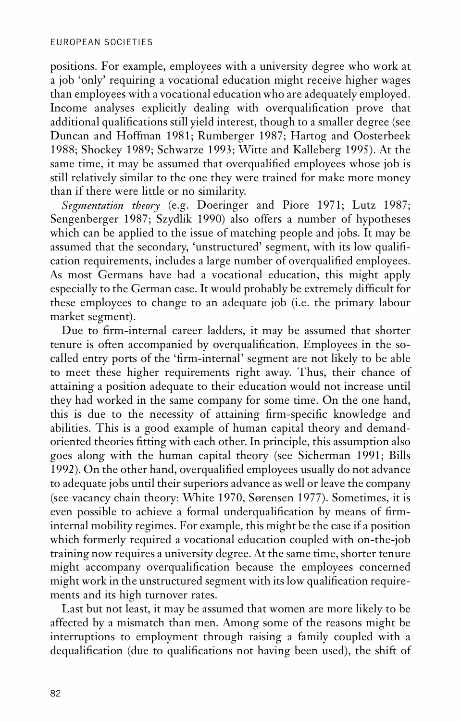positions. For example, employees with a university degree who work at a job 'only' requiring a vocational education might receive higher wages than employees with a vocational education who are adequately employed. Income analyses explicitly dealing with overqualification prove that additional qualifications still yield interest, though to a smaller degree (see Duncan and Hoffman 1981; Rumberger 1987; Hartog and Oosterbeek 1988; Shockey 1989; Schwarze 1993; Witte and Kalleberg 1995). At the same time, it may be assumed that overqualified employees whose job is still relatively similar to the one they were trained for make more money than if there were little or no similarity.

*Segmentation theory* (e.g. Doeringer and Piore 1971; Lutz 1987; Sengenberger 1987; Szydlik 1990) also offers a number of hypotheses which can be applied to the issue of matching people and jobs. It may be assumed that the secondary, 'unstructured' segment, with its low quali cation requirements, includes a large number of overqualified employees. As most Germans have had a vocational education, this might apply especially to the German case. It would probably be extremely difficult for these employees to change to an adequate job (i.e. the primary labour market segment).

Due to firm-internal career ladders, it may be assumed that shorter tenure is often accompanied by overqualification. Employees in the socalled entry ports of the 'firm-internal' segment are not likely to be able to meet these higher requirements right away. Thus, their chance of attaining a position adequate to their education would not increase until they had worked in the same company for some time. On the one hand, this is due to the necessity of attaining firm-specific knowledge and abilities. This is a good example of human capital theory and demand oriented theories tting with each other. In principle, this assumption also goes along with the human capital theory (see Sicherman 1991; Bills 1992). On the other hand, overqualified employees usually do not advance to adequate jobs until their superiors advance as well or leave the company (see vacancy chain theory: White 1970, Sørensen 1977). Sometimes, it is even possible to achieve a formal underqualification by means of firminternal mobility regimes. For example, this might be the case if a position which formerly required a vocational education coupled with on-the-job training now requires a university degree. At the same time, shorter tenure might accompany overqualification because the employees concerned might work in the unstructured segment with its low qualification requirements and its high turnover rates.

Last but not least, it may be assumed that women are more likely to be affected by a mismatch than men. Among some of the reasons might be interruptions to employment through raising a family coupled with a dequalification (due to qualifications not having been used), the shift of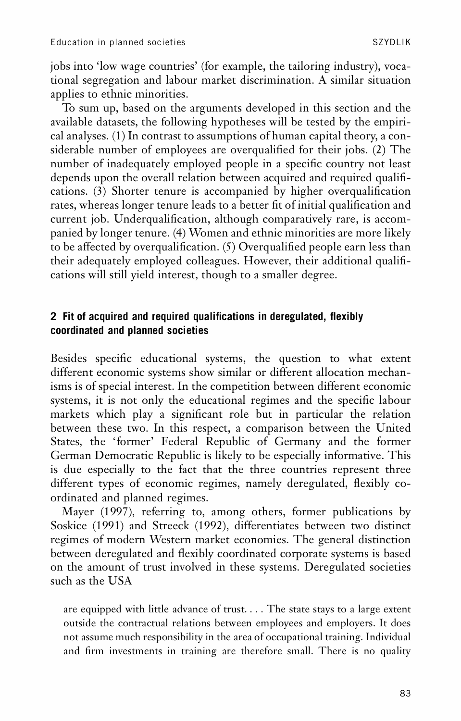jobs into 'low wage countries' (for example, the tailoring industry), vocational segregation and labour market discrimination. A similar situation applies to ethnic minorities.

To sum up, based on the arguments developed in this section and the available datasets, the following hypotheses will be tested by the empiri cal analyses. (1) In contrast to assumptions of human capital theory, a considerable number of employees are overqualified for their jobs. (2) The number of inadequately employed people in a specific country not least depends upon the overall relation between acquired and required quali cations.  $(3)$  Shorter tenure is accompanied by higher overqualification rates, whereas longer tenure leads to a better fit of initial qualification and current job. Underqualification, although comparatively rare, is accompanied by longer tenure. (4) Women and ethnic minorities are more likely to be affected by overqualification. (5) Overqualified people earn less than their adequately employed colleagues. However, their additional qualifications will still yield interest, though to a smaller degree.

## **2** Fit of acquired and required qualifications in deregulated, flexibly **coordinated and planned societies**

Besides specific educational systems, the question to what extent different economic systems show similar or different allocation mechanisms is of special interest. In the competition between different economic systems, it is not only the educational regimes and the specific labour markets which play a signicant role but in particular the relation between these two. In this respect, a comparison between the United States, the 'former' Federal Republic of Germany and the former German Democratic Republic is likely to be especially informative. This is due especially to the fact that the three countries represent three different types of economic regimes, namely deregulated, flexibly coordinated and planned regimes.

Mayer (1997), referring to, among others, former publications by Soskice (1991) and Streeck (1992), differentiates between two distinct regimes of modern Western market economies. The general distinction between deregulated and flexibly coordinated corporate systems is based on the amount of trust involved in these systems. Deregulated societies such as the USA

are equipped with little advance of trust. . . . The state stays to a large extent outside the contractual relations between employees and employers. It does not assume much responsibility in the area of occupational training. Individual and firm investments in training are therefore small. There is no quality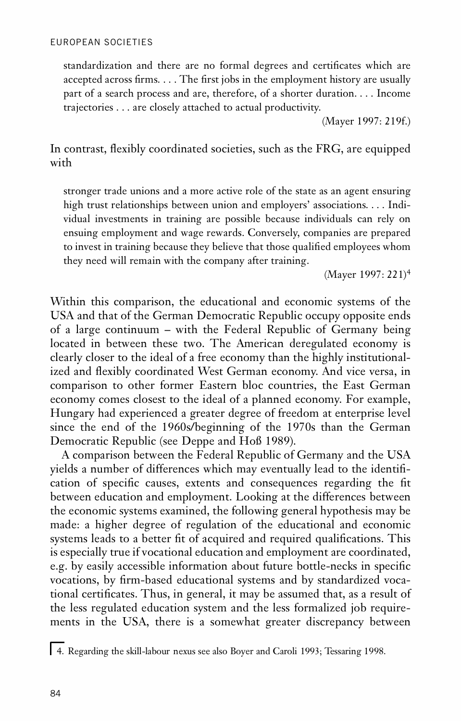standardization and there are no formal degrees and certificates which are accepted across firms.  $\dots$  The first jobs in the employment history are usually part of a search process and are, therefore, of a shorter duration. . . . Income trajectories . . . are closely attached to actual productivity.

(Mayer 1997: 219f.)

In contrast, flexibly coordinated societies, such as the FRG, are equipped with

stronger trade unions and a more active role of the state as an agent ensuring high trust relationships between union and employers' associations. . . . Indi vidual investments in training are possible because individuals can rely on ensuing employment and wage rewards. Conversely, companies are prepared to invest in training because they believe that those qualified employees whom they need will remain with the company after training.

(Mayer 1997: 221)<sup>4</sup>

Within this comparison, the educational and economic systems of the USA and that of the German Democratic Republic occupy opposite ends of a large continuum – with the Federal Republic of Germany being located in between these two. The American deregulated economy is clearly closer to the ideal of a free economy than the highly institutionalized and flexibly coordinated West German economy. And vice versa, in comparison to other former Eastern bloc countries, the East German economy comes closest to the ideal of a planned economy. For example, Hungary had experienced a greater degree of freedom at enterprise level since the end of the 1960s/beginning of the 1970s than the German Democratic Republic (see Deppe and Hoß 1989).

A comparison between the Federal Republic of Germany and the USA yields a number of differences which may eventually lead to the identification of specific causes, extents and consequences regarding the fit between education and employment. Looking at the differences between the economic systems examined, the following general hypothesis may be made: a higher degree of regulation of the educational and economic systems leads to a better fit of acquired and required qualifications. This is especially true if vocational education and employment are coordinated, e.g. by easily accessible information about future bottle-necks in specific vocations, by firm-based educational systems and by standardized vocational certificates. Thus, in general, it may be assumed that, as a result of the less regulated education system and the less formalized job require ments in the USA, there is a somewhat greater discrepancy between

<sup>4.</sup> Regarding the skill-labour nexus see also Boyer and Caroli 1993; Tessaring 1998.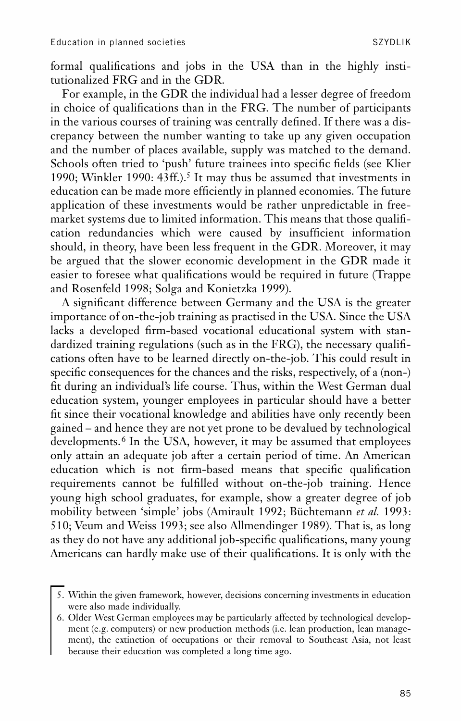formal qualifications and jobs in the USA than in the highly institutionalized FRG and in the GDR.

For example, in the GDR the individual had a lesser degree of freedom in choice of qualifications than in the FRG. The number of participants in the various courses of training was centrally defined. If there was a discrepancy between the number wanting to take up any given occupation and the number of places available, supply was matched to the demand. Schools often tried to 'push' future trainees into specific fields (see Klier 1990; Winkler 1990: 43ff.).<sup>5</sup> It may thus be assumed that investments in education can be made more efficiently in planned economies. The future application of these investments would be rather unpredictable in free market systems due to limited information. This means that those qualification redundancies which were caused by insufficient information should, in theory, have been less frequent in the GDR. Moreover, it may be argued that the slower economic development in the GDR made it easier to foresee what qualifications would be required in future (Trappe and Rosenfeld 1998; Solga and Konietzka 1999).

A signicant difference between Germany and the USA is the greater importance of on-the-job training as practised in the USA. Since the USA lacks a developed firm-based vocational educational system with standardized training regulations (such as in the FRG), the necessary qualifications often have to be learned directly on-the-job. This could result in specific consequences for the chances and the risks, respectively, of a (non-) fit during an individual's life course. Thus, within the West German dual education system, younger employees in particular should have a better fit since their vocational knowledge and abilities have only recently been gained – and hence they are not yet prone to be devalued by technological developments.<sup>6</sup> In the USA, however, it may be assumed that employees only attain an adequate job after a certain period of time. An American education which is not firm-based means that specific qualification requirements cannot be fulfilled without on-the-job training. Hence young high school graduates, for example, show a greater degree of job mobility between 'simple' jobs (Amirault 1992; Büchtemann *et al.* 1993: 510; Veum and Weiss 1993; see also Allmendinger 1989). That is, as long as they do not have any additional job-specific qualifications, many young Americans can hardly make use of their qualifications. It is only with the

<sup>5.</sup> Within the given framework, however, decisions concerning investments in education were also made individually.

<sup>6.</sup> Older West German employees may be particularly affected by technological develop ment (e.g. computers) or new production methods (i.e. lean production, lean manage ment), the extinction of occupations or their removal to Southeast Asia, not least because their education was completed a long time ago.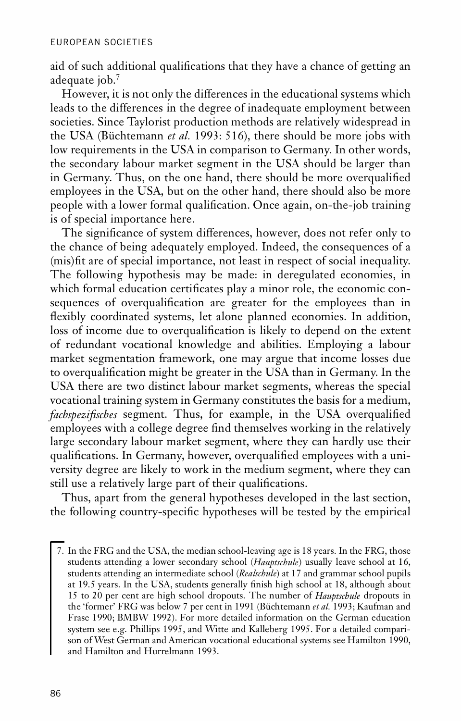aid of such additional qualifications that they have a chance of getting an adequate job.<sup>7</sup>

However, it is not only the differences in the educational systems which leads to the differences in the degree of inadequate employment between societies. Since Taylorist production methods are relatively widespread in the USA (Büchtemann *et al.* 1993: 516), there should be more jobs with low requirements in the USA in comparison to Germany. In other words, the secondary labour market segment in the USA should be larger than in Germany. Thus, on the one hand, there should be more overqualified employees in the USA, but on the other hand, there should also be more people with a lower formal qualification. Once again, on-the-job training is of special importance here.

The significance of system differences, however, does not refer only to the chance of being adequately employed. Indeed, the consequences of a (mis)fit are of special importance, not least in respect of social inequality. The following hypothesis may be made: in deregulated economies, in which formal education certificates play a minor role, the economic consequences of overqualification are greater for the employees than in flexibly coordinated systems, let alone planned economies. In addition, loss of income due to overqualification is likely to depend on the extent of redundant vocational knowledge and abilities. Employing a labour market segmentation framework, one may argue that income losses due to overqualification might be greater in the USA than in Germany. In the USA there are two distinct labour market segments, whereas the special vocational training system in Germany constitutes the basis for a medium, *fachspezifisches* segment. Thus, for example, in the USA overqualified employees with a college degree find themselves working in the relatively large secondary labour market segment, where they can hardly use their qualifications. In Germany, however, overqualified employees with a university degree are likely to work in the medium segment, where they can still use a relatively large part of their qualifications.

Thus, apart from the general hypotheses developed in the last section, the following country-specific hypotheses will be tested by the empirical

<sup>7.</sup> In the FRG and the USA, the median school-leaving age is 18 years. In the FRG, those students attending a lower secondary school (*Hauptschule*) usually leave school at 16, students attending an intermediate school (*Realschule*) at 17 and grammar school pupils at 19.5 years. In the USA, students generally finish high school at 18, although about 15 to 20 per cent are high school dropouts. The number of *Hauptschule* dropouts in the 'former' FRG was below 7 per cent in 1991 (Büchtemann *et al.* 1993; Kaufman and Frase 1990; BMBW 1992). For more detailed information on the German education system see e.g. Phillips 1995, and Witte and Kalleberg 1995. For a detailed comparison of West German and American vocational educational systems see Hamilton 1990, and Hamilton and Hurrelmann 1993.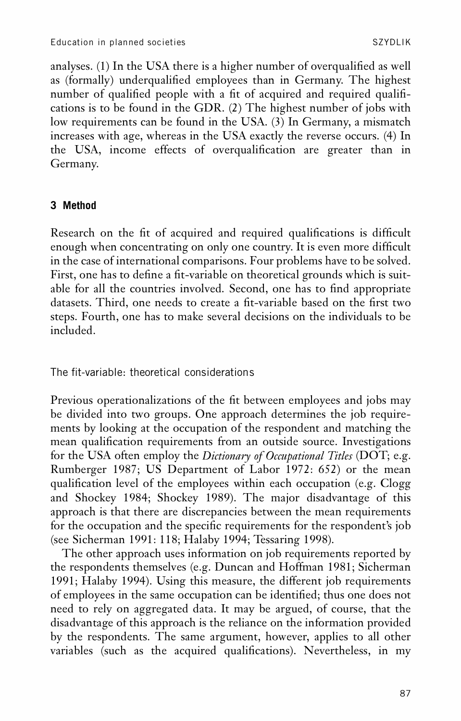analyses. (1) In the USA there is a higher number of overqualified as well as (formally) underqualified employees than in Germany. The highest number of qualified people with a fit of acquired and required qualifications is to be found in the GDR. (2) The highest number of jobs with low requirements can be found in the USA. (3) In Germany, a mismatch increases with age, whereas in the USA exactly the reverse occurs. (4) In the USA, income effects of overqualification are greater than in Germany.

## **3 Method**

Research on the fit of acquired and required qualifications is difficult enough when concentrating on only one country. It is even more difficult in the case of international comparisons. Four problems have to be solved. First, one has to define a fit-variable on theoretical grounds which is suitable for all the countries involved. Second, one has to find appropriate datasets. Third, one needs to create a fit-variable based on the first two steps. Fourth, one has to make several decisions on the individuals to be included.

The fit-variable: theoretical considerations

Previous operationalizations of the fit between employees and jobs may be divided into two groups. One approach determines the job require ments by looking at the occupation of the respondent and matching the mean qualification requirements from an outside source. Investigations for the USA often employ the *Dictionary of Occupational Titles* (DOT; e.g. Rumberger 1987; US Department of Labor 1972: 652) or the mean qualification level of the employees within each occupation (e.g. Clogg and Shockey 1984; Shockey 1989). The major disadvantage of this approach is that there are discrepancies between the mean requirements for the occupation and the specific requirements for the respondent's job (see Sicherman 1991: 118; Halaby 1994; Tessaring 1998).

The other approach uses information on job requirements reported by the respondents themselves (e.g. Duncan and Hoffman 1981; Sicherman 1991; Halaby 1994). Using this measure, the different job requirements of employees in the same occupation can be identified; thus one does not need to rely on aggregated data. It may be argued, of course, that the disadvantage of this approach is the reliance on the information provided by the respondents. The same argument, however, applies to all other variables (such as the acquired qualifications). Nevertheless, in my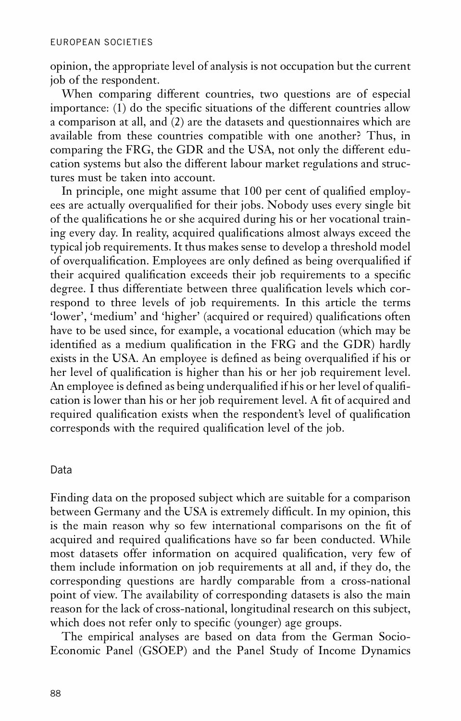opinion, the appropriate level of analysis is not occupation but the current job of the respondent.

When comparing different countries, two questions are of especial importance:  $(1)$  do the specific situations of the different countries allow a comparison at all, and (2) are the datasets and questionnaires which are available from these countries compatible with one another? Thus, in comparing the FRG, the GDR and the USA, not only the different edu cation systems but also the different labour market regulations and structures must be taken into account.

In principle, one might assume that 100 per cent of qualified employees are actually overqualified for their jobs. Nobody uses every single bit of the qualifications he or she acquired during his or her vocational training every day. In reality, acquired qualifications almost always exceed the typical job requirements. It thus makes sense to develop a threshold model of overqualification. Employees are only defined as being overqualified if their acquired qualification exceeds their job requirements to a specific degree. I thus differentiate between three qualification levels which correspond to three levels of job requirements. In this article the terms 'lower', 'medium' and 'higher' (acquired or required) qualifications often have to be used since, for example, a vocational education (which may be identified as a medium qualification in the FRG and the GDR) hardly exists in the USA. An employee is defined as being overqualified if his or her level of qualification is higher than his or her job requirement level. An employee is defined as being underqualified if his or her level of qualification is lower than his or her job requirement level. A fit of acquired and required qualification exists when the respondent's level of qualification corresponds with the required qualification level of the job.

## Data

Finding data on the proposed subject which are suitable for a comparison between Germany and the USA is extremely difficult. In my opinion, this is the main reason why so few international comparisons on the fit of acquired and required qualifications have so far been conducted. While most datasets offer information on acquired qualification, very few of them include information on job requirements at all and, if they do, the corresponding questions are hardly comparable from a cross-national point of view. The availability of corresponding datasets is also the main reason for the lack of cross-national, longitudinal research on this subject, which does not refer only to specific (younger) age groups.

The empirical analyses are based on data from the German Socio- Economic Panel (GSOEP) and the Panel Study of Income Dynamics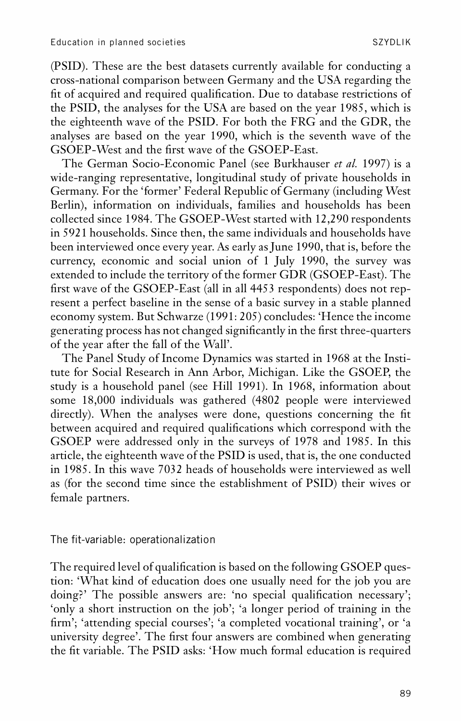(PSID). These are the best datasets currently available for conducting a cross-national comparison between Germany and the USA regarding the fit of acquired and required qualification. Due to database restrictions of the PSID, the analyses for the USA are based on the year 1985, which is the eighteenth wave of the PSID. For both the FRG and the GDR, the analyses are based on the year 1990, which is the seventh wave of the GSOEP-West and the first wave of the GSOEP-East.

The German Socio-Economic Panel (see Burkhauser *et al.* 1997) is a wide-ranging representative, longitudinal study of private households in Germany. For the 'former' Federal Republic of Germany (including West Berlin), information on individuals, families and households has been collected since 1984. The GSOEP-West started with 12,290 respondents in 5921 households. Since then, the same individuals and households have been interviewed once every year. As early as June 1990, that is, before the currency, economic and social union of 1 July 1990, the survey was extended to include the territory of the former GDR (GSOEP-East). The first wave of the GSOEP-East (all in all 4453 respondents) does not represent a perfect baseline in the sense of a basic survey in a stable planned economy system. But Schwarze (1991: 205) concludes: 'Hence the income generating process has not changed significantly in the first three-quarters of the year after the fall of the Wall'.

The Panel Study of Income Dynamics was started in 1968 at the Institute for Social Research in Ann Arbor, Michigan. Like the GSOEP, the study is a household panel (see Hill 1991). In 1968, information about some 18,000 individuals was gathered (4802 people were interviewed directly). When the analyses were done, questions concerning the fit between acquired and required qualifications which correspond with the GSOEP were addressed only in the surveys of 1978 and 1985. In this article, the eighteenth wave of the PSID is used, that is, the one conducted in 1985. In this wave 7032 heads of households were interviewed as well as (for the second time since the establishment of PSID) their wives or female partners.

The fit-variable: operationalization

The required level of qualification is based on the following GSOEP question: 'What kind of education does one usually need for the job you are doing?' The possible answers are: 'no special qualification necessary'; 'only a short instruction on the job'; 'a longer period of training in the firm'; 'attending special courses'; 'a completed vocational training', or 'a university degree'. The first four answers are combined when generating the fit variable. The PSID asks: 'How much formal education is required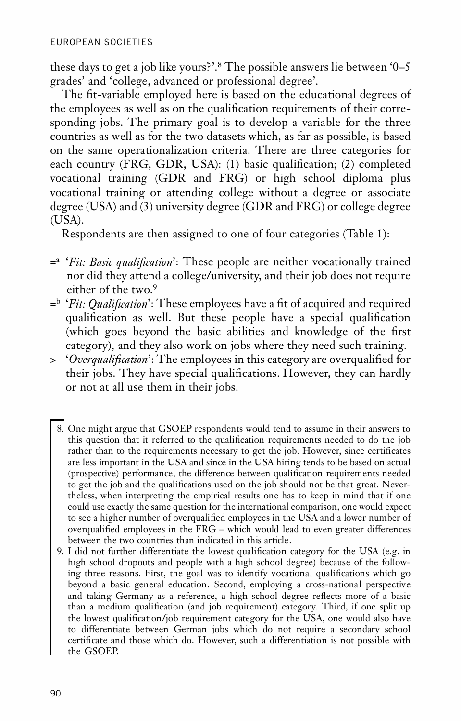these days to get a job like yours?'.<sup>8</sup> The possible answers lie between '0–5 grades' and 'college, advanced or professional degree'.

The fit-variable employed here is based on the educational degrees of the employees as well as on the qualification requirements of their corresponding jobs. The primary goal is to develop a variable for the three countries as well as for the two datasets which, as far as possible, is based on the same operationalization criteria. There are three categories for each country (FRG, GDR, USA): (1) basic qualification; (2) completed vocational training (GDR and FRG) or high school diploma plus vocational training or attending college without a degree or associate degree (USA) and (3) university degree (GDR and FRG) or college degree (USA).

Respondents are then assigned to one of four categories (Table 1):

- <sup>= a</sup> '*Fit: Basic qualification*': These people are neither vocationally trained nor did they attend a college/university, and their job does not require either of the two.<sup>9</sup>
- =<sup>b</sup> *'Fit: Qualification'*: These employees have a fit of acquired and required qualification as well. But these people have a special qualification (which goes beyond the basic abilities and knowledge of the first category), and they also work on jobs where they need such training.
- > 'Overqualification': The employees in this category are overqualified for their jobs. They have special qualifications. However, they can hardly or not at all use them in their jobs.
	- 8. One might argue that GSOEP respondents would tend to assume in their answers to this question that it referred to the qualification requirements needed to do the job rather than to the requirements necessary to get the job. However, since certificates are less important in the USA and since in the USA hiring tends to be based on actual (prospective) performance, the difference between qualication requirements needed to get the job and the qualifications used on the job should not be that great. Nevertheless, when interpreting the empirical results one has to keep in mind that if one could use exactly the same question for the international comparison, one would expect to see a higher number of overqualified employees in the USA and a lower number of overqualified employees in the FRG – which would lead to even greater differences between the two countries than indicated in this article.
	- 9. I did not further differentiate the lowest qualification category for the USA (e.g. in high school dropouts and people with a high school degree) because of the following three reasons. First, the goal was to identify vocational qualifications which go beyond a basic general education. Second, employing a cross-national perspective and taking Germany as a reference, a high school degree reflects more of a basic than a medium qualification (and job requirement) category. Third, if one split up the lowest qualification/job requirement category for the USA, one would also have to differentiate between German jobs which do not require a secondary school certificate and those which do. However, such a differentiation is not possible with the GSOEP.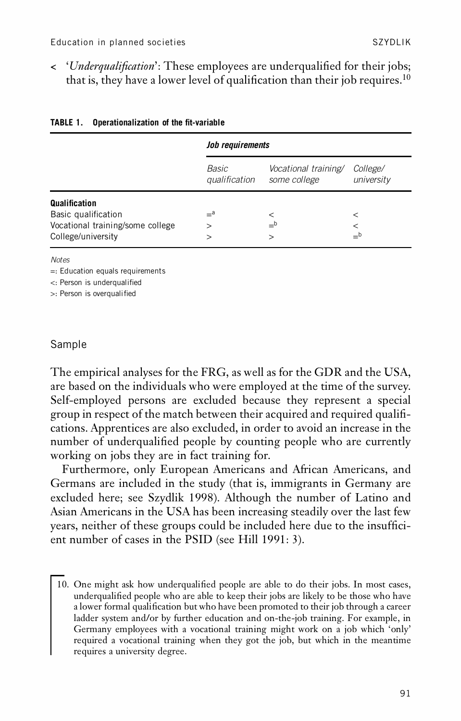$\langle$  '*Underqualification*': These employees are underqualified for their jobs; that is, they have a lower level of qualification than their job requires.<sup>10</sup>

|                                  | Job requirements       |                                      |                               |
|----------------------------------|------------------------|--------------------------------------|-------------------------------|
|                                  | Basic<br>qualification | Vocational training/<br>some college | <i>College/</i><br>university |
| Qualification                    |                        |                                      |                               |
| Basic qualification              | $=$ a                  |                                      | $\,<$                         |
| Vocational training/some college | $\mathbf{I}$           | $=$ b                                |                               |
| College/university               |                        | $\gt$                                |                               |

#### **TABLE 1.** Operationalization of the fit-variable

*Notes*

=: Education equals requirements

<: Person is underqualified

>: Person is overqualified

### Sample

The empirical analyses for the FRG, as well as for the GDR and the USA, are based on the individuals who were employed at the time of the survey. Self-employed persons are excluded because they represent a special group in respect of the match between their acquired and required quali cations. Apprentices are also excluded, in order to avoid an increase in the number of underqualified people by counting people who are currently working on jobs they are in fact training for.

Furthermore, only European Americans and African Americans, and Germans are included in the study (that is, immigrants in Germany are excluded here; see Szydlik 1998). Although the number of Latino and Asian Americans in the USA has been increasing steadily over the last few years, neither of these groups could be included here due to the insufficient number of cases in the PSID (see Hill 1991: 3).

10. One might ask how underqualified people are able to do their jobs. In most cases, underqualified people who are able to keep their jobs are likely to be those who have a lower formal qualification but who have been promoted to their job through a career ladder system and/or by further education and on-the-job training. For example, in Germany employees with a vocational training might work on a job which 'only' required a vocational training when they got the job, but which in the meantime requires a university degree.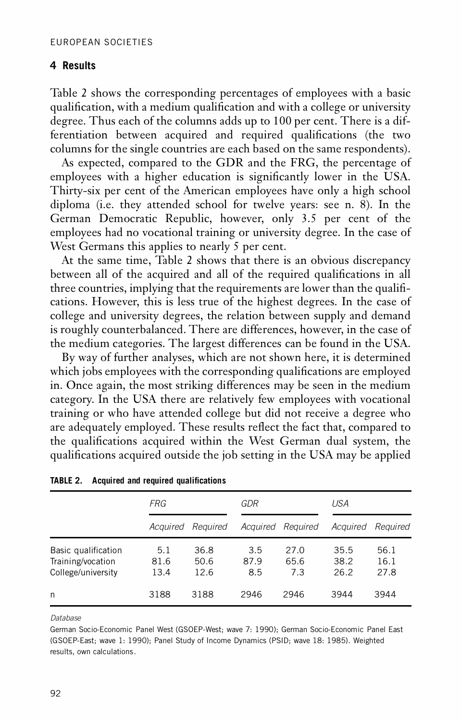## **4 Results**

Table 2 shows the corresponding percentages of employees with a basic qualification, with a medium qualification and with a college or university degree. Thus each of the columns adds up to 100 per cent. There is a differentiation between acquired and required qualifications (the two columns for the single countries are each based on the same respondents).

As expected, compared to the GDR and the FRG, the percentage of employees with a higher education is signicantly lower in the USA. Thirty-six per cent of the American employees have only a high school diploma (i.e. they attended school for twelve years: see n. 8). In the German Democratic Republic, however, only 3.5 per cent of the employees had no vocational training or university degree. In the case of West Germans this applies to nearly 5 per cent.

At the same time, Table 2 shows that there is an obvious discrepancy between all of the acquired and all of the required qualifications in all three countries, implying that the requirements are lower than the qualifications. However, this is less true of the highest degrees. In the case of college and university degrees, the relation between supply and demand is roughly counterbalanced. There are differences, however, in the case of the medium categories. The largest differences can be found in the USA.

By way of further analyses, which are not shown here, it is determined which jobs employees with the corresponding qualifications are employed in. Once again, the most striking differences may be seen in the medium category. In the USA there are relatively few employees with vocational training or who have attended college but did not receive a degree who are adequately employed. These results reflect the fact that, compared to the qualifications acquired within the West German dual system, the qualifications acquired outside the job setting in the USA may be applied

|                                                                | FRG                 |                      | GDR                |                     | USA                  |                      |
|----------------------------------------------------------------|---------------------|----------------------|--------------------|---------------------|----------------------|----------------------|
|                                                                |                     | Acquired Required    | Acquired Required  |                     | Acauired             | Reauired             |
| Basic qualification<br>Training/vocation<br>College/university | 5.1<br>81.6<br>13.4 | 36.8<br>50.6<br>12.6 | 3.5<br>87.9<br>8.5 | 27.0<br>65.6<br>7.3 | 35.5<br>38.2<br>26.2 | 56.1<br>16.1<br>27.8 |
| n                                                              | 3188                | 3188                 | 2946               | 2946                | 3944                 | 3944                 |

#### *Database*

German Socio-Economic Panel West (GSOEP-West; wave 7: 1990); German Socio-Economic Panel East (GSOEP-East; wave 1: 1990); Panel Study of Income Dynamics (PSID; wave 18: 1985). Weighted results, own calculations.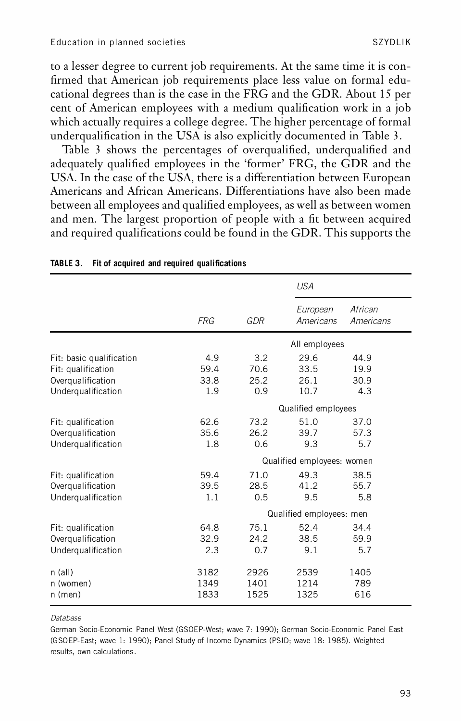to a lesser degree to current job requirements. At the same time it is con firmed that American job requirements place less value on formal educational degrees than is the case in the FRG and the GDR. About 15 per cent of American employees with a medium qualification work in a job which actually requires a college degree. The higher percentage of formal underqualification in the USA is also explicitly documented in Table 3.

Table 3 shows the percentages of overqualified, underqualified and adequately qualified employees in the 'former' FRG, the GDR and the USA. In the case of the USA, there is a differentiation between European Americans and African Americans. Differentiations have also been made between all employees and qualified employees, as well as between women and men. The largest proportion of people with a fit between acquired and required qualifications could be found in the GDR. This supports the

|                                                                                           |                            |                            | <b>USA</b>                   |                             |  |
|-------------------------------------------------------------------------------------------|----------------------------|----------------------------|------------------------------|-----------------------------|--|
|                                                                                           | <b>FRG</b>                 | GDR                        | European<br>Americans        | African<br>Americans        |  |
|                                                                                           |                            |                            | All employees                |                             |  |
| Fit: basic qualification<br>Fit: qualification<br>Overgualification<br>Underqualification | 4.9<br>59.4<br>33.8<br>1.9 | 3.2<br>70.6<br>25.2<br>0.9 | 29.6<br>33.5<br>26.1<br>10.7 | 44.9<br>19.9<br>30.9<br>4.3 |  |
|                                                                                           |                            |                            | Qualified employees          |                             |  |
| Fit: qualification<br>Overgualification<br>Undergualification                             | 62.6<br>35.6<br>1.8        | 73.2<br>26.2<br>0.6        | 51.0<br>39.7<br>9.3          | 37.0<br>57.3<br>5.7         |  |
|                                                                                           |                            |                            | Qualified employees: women   |                             |  |
| Fit: qualification<br>Overqualification<br>Undergualification                             | 59.4<br>39.5<br>1.1        | 71.0<br>28.5<br>0.5        | 49.3<br>41.2<br>9.5          | 38.5<br>55.7<br>5.8         |  |
|                                                                                           |                            |                            | Qualified employees: men     |                             |  |
| Fit: qualification<br>Overqualification<br>Undergualification                             | 64.8<br>32.9<br>2.3        | 75.1<br>24.2<br>0.7        | 52.4<br>38.5<br>9.1          | 34.4<br>59.9<br>5.7         |  |
| $n$ (all)<br>n (women)<br>$n$ (men)                                                       | 3182<br>1349<br>1833       | 2926<br>1401<br>1525       | 2539<br>1214<br>1325         | 1405<br>789<br>616          |  |

#### **TABLE 3.** Fit of acquired and required qualifications

*Database*

German Socio-Economic Panel West (GSOEP-West; wave 7: 1990); German Socio-Economic Panel East (GSOEP-East; wave 1: 1990); Panel Study of Income Dynamics (PSID; wave 18: 1985). Weighted results, own calculations.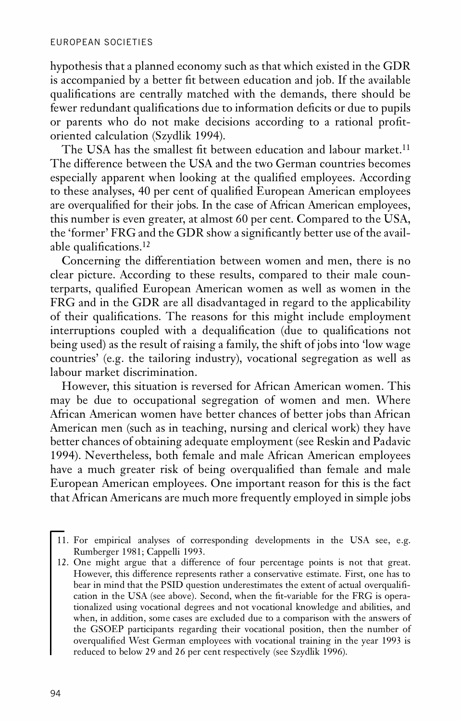hypothesis that a planned economy such as that which existed in the GDR is accompanied by a better fit between education and job. If the available qualifications are centrally matched with the demands, there should be fewer redundant qualifications due to information deficits or due to pupils or parents who do not make decisions according to a rational profitoriented calculation (Szydlik 1994).

The USA has the smallest fit between education and labour market.<sup>11</sup> The difference between the USA and the two German countries becomes especially apparent when looking at the qualified employees. According to these analyses, 40 per cent of qualified European American employees are overqualified for their jobs. In the case of African American employees, this number is even greater, at almost 60 per cent. Compared to the USA, the 'former' FRG and the GDR show a significantly better use of the available qualifications. $^{12}$ 

Concerning the differentiation between women and men, there is no clear picture. According to these results, compared to their male counterparts, qualified European American women as well as women in the FRG and in the GDR are all disadvantaged in regard to the applicability of their qualifications. The reasons for this might include employment interruptions coupled with a dequalification (due to qualifications not being used) as the result of raising a family, the shift of jobs into 'low wage countries' (e.g. the tailoring industry), vocational segregation as well as labour market discrimination.

However, this situation is reversed for African American women. This may be due to occupational segregation of women and men. Where African American women have better chances of better jobs than African American men (such as in teaching, nursing and clerical work) they have better chances of obtaining adequate employment (see Reskin and Padavic 1994). Nevertheless, both female and male African American employees have a much greater risk of being overqualified than female and male European American employees. One important reason for this is the fact that African Americans are much more frequently employed in simple jobs

- 11. For empirical analyses of corresponding developments in the USA see, e.g. Rumberger 1981; Cappelli 1993.
- 12. One might argue that a difference of four percentage points is not that great. However, this difference represents rather a conservative estimate. First, one has to bear in mind that the PSID question underestimates the extent of actual overqualification in the USA (see above). Second, when the fit-variable for the FRG is operationalized using vocational degrees and not vocational knowledge and abilities, and when, in addition, some cases are excluded due to a comparison with the answers of the GSOEP participants regarding their vocational position, then the number of overqualified West German employees with vocational training in the year 1993 is reduced to below 29 and 26 per cent respectively (see Szydlik 1996).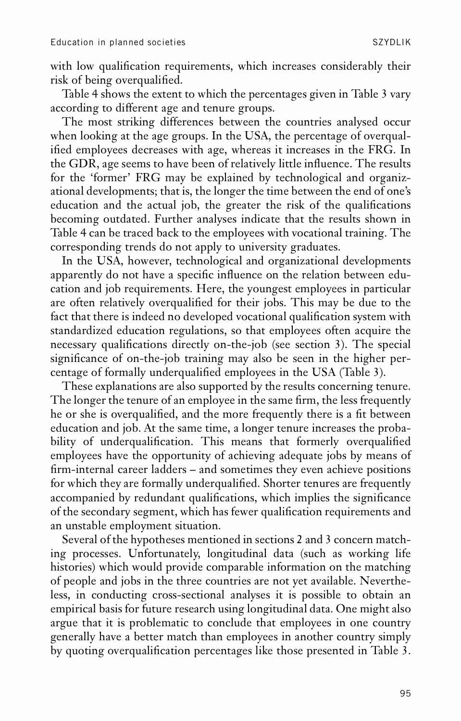with low qualification requirements, which increases considerably their risk of being overqualified.

Table 4 shows the extent to which the percentages given in Table 3 vary according to different age and tenure groups.

The most striking differences between the countries analysed occur when looking at the age groups. In the USA, the percentage of overqualified employees decreases with age, whereas it increases in the FRG. In the GDR, age seems to have been of relatively little influence. The results for the 'former' FRG may be explained by technological and organiz ational developments; that is, the longer the time between the end of one's education and the actual job, the greater the risk of the qualifications becoming outdated. Further analyses indicate that the results shown in Table 4 can be traced back to the employees with vocational training. The corresponding trends do not apply to university graduates.

In the USA, however, technological and organizational developments apparently do not have a specific influence on the relation between education and job requirements. Here, the youngest employees in particular are often relatively overqualified for their jobs. This may be due to the fact that there is indeed no developed vocational qualification system with standardized education regulations, so that employees often acquire the necessary qualifications directly on-the-job (see section 3). The special significance of on-the-job training may also be seen in the higher percentage of formally underqualified employees in the USA (Table 3).

These explanations are also supported by the results concerning tenure. The longer the tenure of an employee in the same firm, the less frequently he or she is overqualified, and the more frequently there is a fit between education and job. At the same time, a longer tenure increases the proba bility of underqualification. This means that formerly overqualified employees have the opportunity of achieving adequate jobs by means of rm-internal career ladders – and sometimes they even achieve positions for which they are formally underqualified. Shorter tenures are frequently accompanied by redundant qualifications, which implies the significance of the secondary segment, which has fewer qualification requirements and an unstable employment situation.

Several of the hypotheses mentioned in sections 2 and 3 concern matching processes. Unfortunately, longitudinal data (such as working life histories) which would provide comparable information on the matching of people and jobs in the three countries are not yet available. Nevertheless, in conducting cross-sectional analyses it is possible to obtain an empirical basis for future research using longitudinal data. One might also argue that it is problematic to conclude that employees in one country generally have a better match than employees in another country simply by quoting overqualification percentages like those presented in Table 3.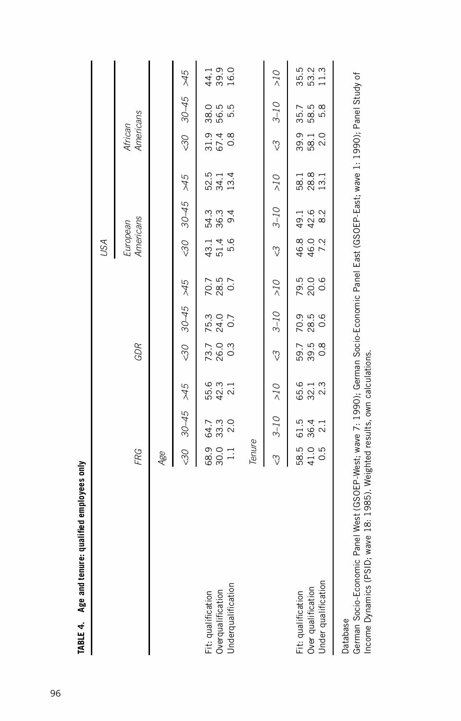| re: qualified employees only<br>TABLE 4. Age and tenur          |                        |                     |                         |                     |                                 |                       |                       |                         |                       |                                 |                     |                      |
|-----------------------------------------------------------------|------------------------|---------------------|-------------------------|---------------------|---------------------------------|-----------------------|-----------------------|-------------------------|-----------------------|---------------------------------|---------------------|----------------------|
|                                                                 |                        |                     |                         |                     |                                 |                       | USA                   |                         |                       |                                 |                     |                      |
|                                                                 | FRG                    |                     |                         | GDR                 |                                 |                       | European<br>Americans |                         |                       | African<br>Americans            |                     |                      |
|                                                                 | Age                    |                     |                         |                     |                                 |                       |                       |                         |                       |                                 |                     |                      |
|                                                                 | 30                     | $30 - 45$           | $5+$                    | 30                  | $30 - 45$                       | $5+$                  | 30                    | $30 - 45$               | 5p <sub>0</sub>       | 30                              | $30 - 45$           | $5p \times$          |
| Overqualification<br>Underqualification<br>Fit: qualification   | 68.9<br>30.1<br>1.1    | 64.7<br>33.0<br>2.0 | 55.3<br>42.1<br>2.1     | 73.0<br>26.0<br>0.3 | 75.3<br>24.0<br>0.7             | 70.7<br>28.5<br>0.7   | $43.1$<br>51.4<br>5.6 | 54.3<br>36.3<br>54.3    | 52.1<br>531.4<br>53.1 | 31 4 8<br>5 4 8                 | 38.5<br>56.5<br>5.5 | 44.1<br>39.0<br>16.0 |
|                                                                 | Tenure                 |                     |                         |                     |                                 |                       |                       |                         |                       |                                 |                     |                      |
|                                                                 | S)                     | $3-10$              | $\geq 10$               | $\mathcal{C}$       | $3-10$                          | $_{\odot I<}$         | <u>က</u> ွ            | $3-10$                  | $\geq 10$             | $\heartsuit$                    | $3-10$              | OI                   |
| Fit: qualification<br>Over qualification<br>Under qualification | 58.5<br>4 1 .5<br>0 .5 | 61.5<br>36.4<br>2.1 | 65.13<br>32.13<br>32.13 | 59.5<br>39.6<br>0.8 | 0<br>0<br>0<br>0<br>0<br>0<br>0 | 79.0<br>20.0<br>7 0.0 | 46.0<br>46.2<br>7     | 1 - 1<br>4 2 2<br>4 2 8 | 58.1<br>28.3<br>13.1  | 9<br>9<br>9<br>9<br>9<br>2<br>2 | 35.5<br>58.5<br>58  | 35.5<br>53.2<br>11.3 |
| Database                                                        |                        |                     |                         |                     |                                 |                       |                       |                         |                       |                                 |                     |                      |
|                                                                 |                        |                     |                         |                     |                                 |                       |                       |                         |                       |                                 |                     |                      |

TABLE 4. Age and tenure: qualified employees only

German Socio-Economic Panel West (GSOEP-West; wave 7: 1990); German Socio-Economic Panel East (GSOEP-East; wave 1: 1990); Panel Study of<br>Income Dynamics (PSID; wave 18: 1985). Weighted results, own calculations. German Socio-Economic Panel West (GSOEP-West; wave 7: 1990); German Socio-Economic Panel East (GSOEP-East; wave 1: 1990); Panel Study of Income Dynamics (PSID; wave 18: 1985). Weighted results, own calculations.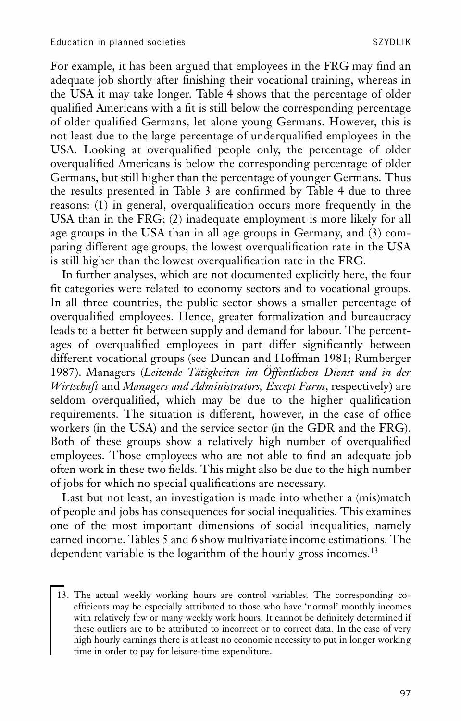For example, it has been argued that employees in the FRG may find an adequate job shortly after finishing their vocational training, whereas in the USA it may take longer. Table 4 shows that the percentage of older qualified Americans with a fit is still below the corresponding percentage of older qualified Germans, let alone young Germans. However, this is not least due to the large percentage of underqualified employees in the USA. Looking at overqualified people only, the percentage of older overqualified Americans is below the corresponding percentage of older Germans, but still higher than the percentage of younger Germans. Thus the results presented in Table 3 are confirmed by Table 4 due to three reasons: (1) in general, overqualification occurs more frequently in the USA than in the FRG; (2) inadequate employment is more likely for all age groups in the USA than in all age groups in Germany, and (3) com paring different age groups, the lowest overqualification rate in the USA is still higher than the lowest overqualification rate in the FRG.

In further analyses, which are not documented explicitly here, the four fit categories were related to economy sectors and to vocational groups. In all three countries, the public sector shows a smaller percentage of overqualified employees. Hence, greater formalization and bureaucracy leads to a better fit between supply and demand for labour. The percentages of overqualified employees in part differ significantly between different vocational groups (see Duncan and Hoffman 1981; Rumberger 1987). Managers (*Leitende Tätigkeiten im Öffentlichen Dienst und in der Wirtschaft* and *Managers and Administrators, Except Farm*, respectively) are seldom overqualified, which may be due to the higher qualification requirements. The situation is different, however, in the case of office workers (in the USA) and the service sector (in the GDR and the FRG). Both of these groups show a relatively high number of overqualified employees. Those employees who are not able to find an adequate job often work in these two fields. This might also be due to the high number of jobs for which no special qualifications are necessary.

Last but not least, an investigation is made into whether a (mis)match of people and jobs has consequences for social inequalities. This examines one of the most important dimensions of social inequalities, namely earned income. Tables 5 and 6 show multivariate income estimations. The dependent variable is the logarithm of the hourly gross incomes.<sup>13</sup>

<sup>13.</sup> The actual weekly working hours are control variables. The corresponding co efficients may be especially attributed to those who have 'normal' monthly incomes with relatively few or many weekly work hours. It cannot be definitely determined if these outliers are to be attributed to incorrect or to correct data. In the case of very high hourly earnings there is at least no economic necessity to put in longer working time in order to pay for leisure-time expenditure.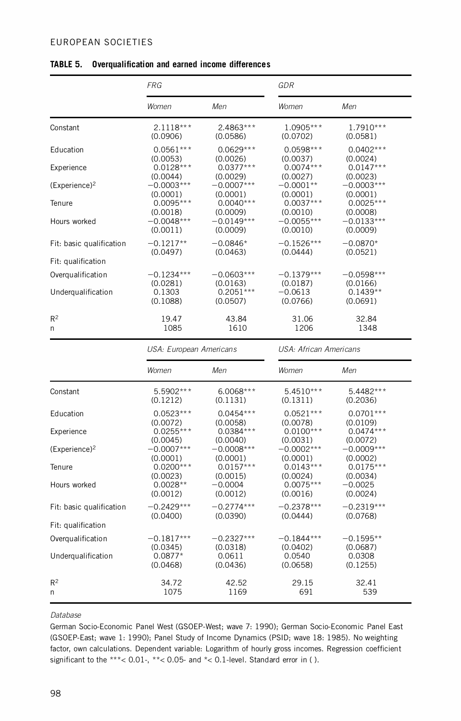#### EUROPEAN SOCIETIES

|                           | <b>FRG</b>              |              | GDR                    |              |
|---------------------------|-------------------------|--------------|------------------------|--------------|
|                           | Women                   | Men          | Women                  | Men          |
| Constant                  | $2.1118***$             | 2.4863***    | 1.0905***              | $1.7910***$  |
|                           | (0.0906)                | (0.0586)     | (0.0702)               | (0.0581)     |
| Education                 | $0.0561***$             | $0.0629***$  | $0.0598***$            | $0.0402***$  |
| Experience                | (0.0053)                | (0.0026)     | (0.0037)               | (0.0024)     |
|                           | $0.0128***$             | $0.0377***$  | $0.0074***$            | $0.0147***$  |
|                           | (0.0044)                | (0.0029)     | (0.0027)               | (0.0023)     |
| (Experience) <sup>2</sup> | $-0.0003***$            | $-0.0007***$ | $-0.0001**$            | $-0.0003***$ |
|                           | (0.0001)                | (0.0001)     | (0.0001)               | (0.0001)     |
| Tenure                    | $0.0095***$             | $0.0040***$  | $0.0037***$            | $0.0025***$  |
|                           | (0.0018)                | (0.0009)     | (0.0010)               | (0.0008)     |
| Hours worked              | $-0.0048***$            | $-0.0149***$ | $-0.0055***$           | $-0.0133***$ |
|                           | (0.0011)                | (0.0009)     | (0.0010)               | (0.0009)     |
| Fit: basic qualification  | $-0.1217**$             | $-0.0846*$   | $-0.1526***$           | $-0.0870*$   |
|                           | (0.0497)                | (0.0463)     | (0.0444)               | (0.0521)     |
| Fit: qualification        |                         |              |                        |              |
| Overqualification         | $-0.1234***$            | $-0.0603***$ | $-0.1379***$           | $-0.0598***$ |
|                           | (0.0281)                | (0.0163)     | (0.0187)               | (0.0166)     |
| Underqualification        | 0.1303                  | $0.2051***$  | $-0.0613$              | $0.1439**$   |
|                           | (0.1088)                | (0.0507)     | (0.0766)               | (0.0691)     |
| $R^2$                     | 19.47                   | 43.84        | 31.06                  | 32.84        |
| n                         | 1085                    | 1610         | 1206                   | 1348         |
|                           | USA: European Americans |              | USA: African Americans |              |
|                           | Women                   | Men          | Women                  | Men          |
| Constant                  | 5.5902***               | 6.0068***    | $5.4510***$            | 5.4482***    |
|                           | (0.1212)                | (0.1131)     | (0.1311)               | (0.2036)     |
| Education                 | $0.0523***$             | $0.0454***$  | $0.0521***$            | $0.0701***$  |
|                           | (0.0072)                | (0.0058)     | (0.0078)               | (0.0109)     |
| Experience                | $0.0255***$             | $0.0384***$  | $0.0100***$            | $0.0474***$  |
|                           | (0.0045)                | (0.0040)     | (0.0031)               | (0.0072)     |
| (Experience) <sup>2</sup> | $-0.0007***$            | $-0.0008***$ | $-0.0002***$           | $-0.0009***$ |
|                           | (0.0001)                | (0.0001)     | (0.0001)               | (0.0002)     |
| Tenure                    | $0.0200***$             | $0.0157***$  | $0.0143***$            | $0.0175***$  |
|                           | (0.0023)                | (0.0015)     | (0.0024)               | (0.0034)     |
| Hours worked              | $0.0028**$              | $-0.0004$    | $0.0075***$            | $-0.0025$    |
|                           | (0.0012)                | (0.0012)     | (0.0016)               | (0.0024)     |
| Fit: basic qualification  | $-0.2429***$            | $-0.2774***$ | $-0.2378***$           | $-0.2319***$ |
|                           | (0.0400)                | (0.0390)     | (0.0444)               | (0.0768)     |
| Fit: qualification        |                         |              |                        |              |
| Overqualification         | $-0.1817***$            | $-0.2327***$ | $-0.1844***$           | $-0.1595**$  |
| Underqualification        | (0.0345)                | (0.0318)     | (0.0402)               | (0.0687)     |
|                           | $0.0877*$               | 0.0611       | 0.0540                 | 0.0308       |
|                           | (0.0468)                | (0.0436)     | (0.0658)               | (0.1255)     |
| $R^2$                     | 34.72                   | 42.52        | 29.15                  | 32.41        |
| n                         | 1075                    | 1169         | 691                    | 539          |

#### **TABLE 5.** Overqualification and earned income differences

#### *Database*

German Socio-Economic Panel West (GSOEP-West; wave 7: 1990); German Socio-Economic Panel East (GSOEP-East; wave 1: 1990); Panel Study of Income Dynamics (PSID; wave 18: 1985). No weighting factor, own calculations. Dependent variable: Logarithm of hourly gross incomes. Regression coefficient significant to the \*\*\*< 0.01-, \*\*< 0.05- and \*< 0.1-level. Standard error in ( ).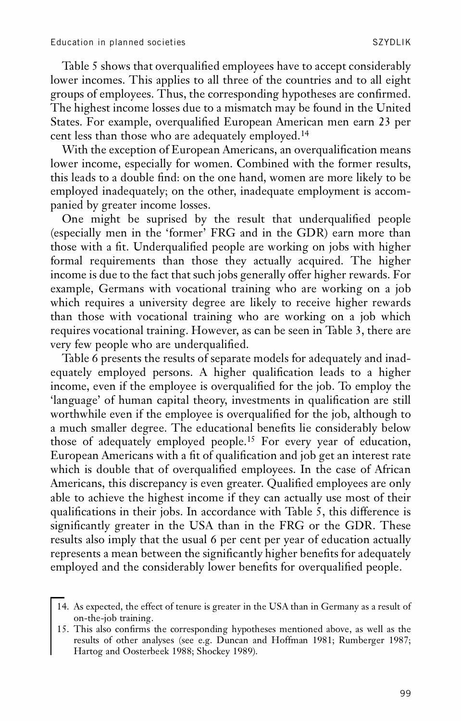Table 5 shows that overqualified employees have to accept considerably lower incomes. This applies to all three of the countries and to all eight groups of employees. Thus, the corresponding hypotheses are confirmed. The highest income losses due to a mismatch may be found in the United States. For example, overqualified European American men earn 23 per cent less than those who are adequately employed.<sup>14</sup>

With the exception of European Americans, an overqualification means lower income, especially for women. Combined with the former results, this leads to a double find: on the one hand, women are more likely to be employed inadequately; on the other, inadequate employment is accom panied by greater income losses.

One might be suprised by the result that underqualified people (especially men in the 'former' FRG and in the GDR) earn more than those with a fit. Underqualified people are working on jobs with higher formal requirements than those they actually acquired. The higher income is due to the fact that such jobs generally offer higher rewards. For example, Germans with vocational training who are working on a job which requires a university degree are likely to receive higher rewards than those with vocational training who are working on a job which requires vocational training. However, as can be seen in Table 3, there are very few people who are underqualified.

Table 6 presents the results of separate models for adequately and inad equately employed persons. A higher qualification leads to a higher income, even if the employee is overqualified for the job. To employ the 'language' of human capital theory, investments in qualification are still worthwhile even if the employee is overqualified for the job, although to a much smaller degree. The educational benefits lie considerably below those of adequately employed people.<sup>15</sup> For every year of education, European Americans with a fit of qualification and job get an interest rate which is double that of overqualified employees. In the case of African Americans, this discrepancy is even greater. Qualified employees are only able to achieve the highest income if they can actually use most of their qualifications in their jobs. In accordance with Table 5, this difference is significantly greater in the USA than in the FRG or the GDR. These results also imply that the usual 6 per cent per year of education actually represents a mean between the significantly higher benefits for adequately employed and the considerably lower benefits for overqualified people.

<sup>14.</sup> As expected, the effect of tenure is greater in the USA than in Germany as a result of on-the-job training.

<sup>15.</sup> This also confirms the corresponding hypotheses mentioned above, as well as the results of other analyses (see e.g. Duncan and Hoffman 1981; Rumberger 1987; Hartog and Oosterbeek 1988; Shockey 1989).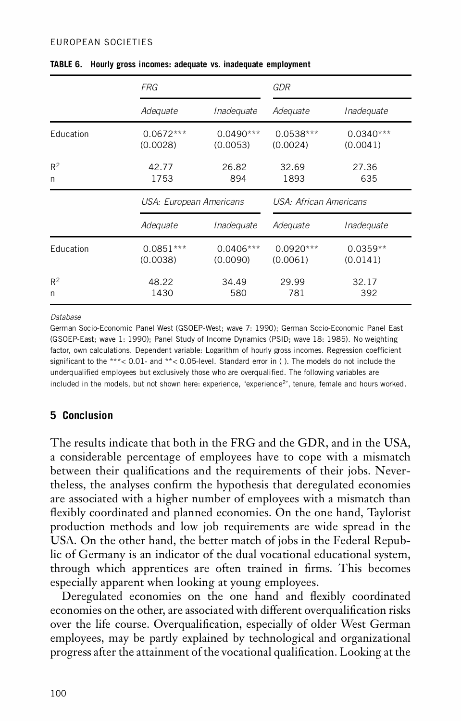#### EUROPEAN SOCIETIES

|            | <b>FRG</b>              |                         | GDR                     |                         |  |
|------------|-------------------------|-------------------------|-------------------------|-------------------------|--|
|            | Adequate                | Inadequate              | Adequate                | Inadequate              |  |
| Education  | $0.0672***$<br>(0.0028) | $0.0490***$<br>(0.0053) | $0.0538***$<br>(0.0024) | $0.0340***$<br>(0.0041) |  |
| $R^2$<br>n | 42.77<br>1753           | 26.82<br>894            | 32.69<br>1893           | 27.36<br>635            |  |
|            | USA: European Americans |                         | USA: African Americans  |                         |  |
|            | Adequate                | Inadequate              | Adequate                | Inadequate              |  |
| Education  | $0.0851***$<br>(0.0038) | $0.0406***$<br>(0.0090) | $0.0920***$<br>(0.0061) | $0.0359**$<br>(0.0141)  |  |
| $R^2$      | 48.22                   | 34.49                   | 29.99                   | 32.17                   |  |

**TABLE 6. Hourly gross incomes: adequate vs. inadequate employment**

*Database*

German Socio-Economic Panel West (GSOEP-West; wave 7: 1990); German Socio-Economic Panel East (GSOEP-East; wave 1: 1990); Panel Study of Income Dynamics (PSID; wave 18: 1985). No weighting factor, own calculations. Dependent variable: Logarithm of hourly gross incomes. Regression coefficient significant to the \*\*\* < 0.01- and \*\* < 0.05-level. Standard error in ( ). The models do not include the underqualified employees but exclusively those who are overqualified. The following variables are included in the models, but not shown here: experience, 'experience 2', tenure, female and hours worked.

## **5 Conclusion**

The results indicate that both in the FRG and the GDR, and in the USA, a considerable percentage of employees have to cope with a mismatch between their qualifications and the requirements of their jobs. Nevertheless, the analyses confirm the hypothesis that deregulated economies are associated with a higher number of employees with a mismatch than flexibly coordinated and planned economies. On the one hand, Taylorist production methods and low job requirements are wide spread in the USA. On the other hand, the better match of jobs in the Federal Republic of Germany is an indicator of the dual vocational educational system, through which apprentices are often trained in firms. This becomes especially apparent when looking at young employees.

Deregulated economies on the one hand and flexibly coordinated economies on the other, are associated with different overqualification risks over the life course. Overqualification, especially of older West German employees, may be partly explained by technological and organizational progress after the attainment of the vocational qualification. Looking at the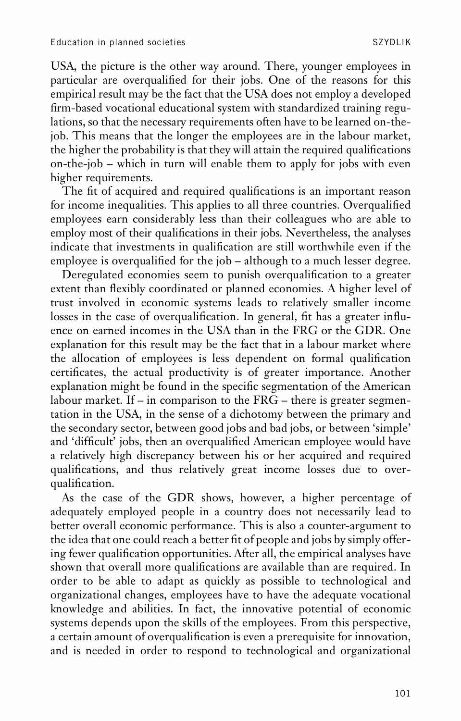USA, the picture is the other way around. There, younger employees in particular are overqualified for their jobs. One of the reasons for this empirical result may be the fact that the USA does not employ a developed firm-based vocational educational system with standardized training regulations, so that the necessary requirements often have to be learned on-thejob. This means that the longer the employees are in the labour market, the higher the probability is that they will attain the required qualifications on-the-job – which in turn will enable them to apply for jobs with even higher requirements.

The fit of acquired and required qualifications is an important reason for income inequalities. This applies to all three countries. Overqualified employees earn considerably less than their colleagues who are able to employ most of their qualifications in their jobs. Nevertheless, the analyses indicate that investments in qualification are still worthwhile even if the employee is overqualified for the job - although to a much lesser degree.

Deregulated economies seem to punish overqualification to a greater extent than flexibly coordinated or planned economies. A higher level of trust involved in economic systems leads to relatively smaller income losses in the case of overqualification. In general, fit has a greater influence on earned incomes in the USA than in the FRG or the GDR. One explanation for this result may be the fact that in a labour market where the allocation of employees is less dependent on formal qualification certificates, the actual productivity is of greater importance. Another explanation might be found in the specific segmentation of the American labour market. If – in comparison to the FRG – there is greater segmentation in the USA, in the sense of a dichotomy between the primary and the secondary sector, between good jobs and bad jobs, or between 'simple' and 'difficult' jobs, then an overqualified American employee would have a relatively high discrepancy between his or her acquired and required qualifications, and thus relatively great income losses due to overqualification.

As the case of the GDR shows, however, a higher percentage of adequately employed people in a country does not necessarily lead to better overall economic performance. This is also a counter-argument to the idea that one could reach a better fit of people and jobs by simply offering fewer qualification opportunities. After all, the empirical analyses have shown that overall more qualifications are available than are required. In order to be able to adapt as quickly as possible to technological and organizational changes, employees have to have the adequate vocational knowledge and abilities. In fact, the innovative potential of economic systems depends upon the skills of the employees. From this perspective, a certain amount of overqualification is even a prerequisite for innovation, and is needed in order to respond to technological and organizational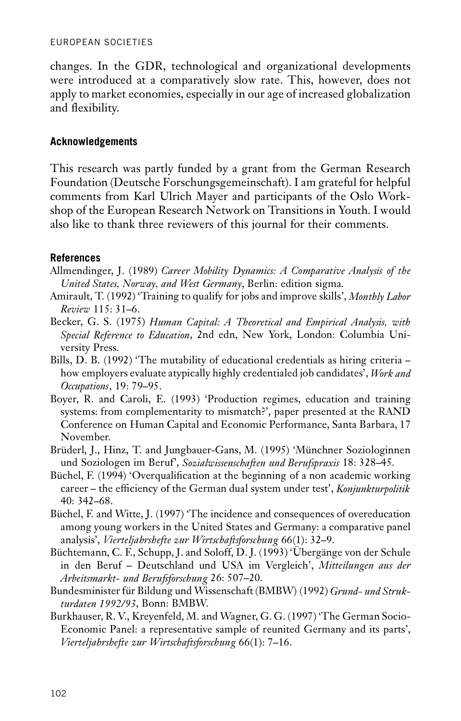changes. In the GDR, technological and organizational developments were introduced at a comparatively slow rate. This, however, does not apply to market economies, especially in our age of increased globalization and flexibility.

## **Acknowledgements**

This research was partly funded by a grant from the German Research Foundation (Deutsche Forschungsgemeinschaft). I am grateful for helpful comments from Karl Ulrich Mayer and participants of the Oslo Workshop of the European Research Network on Transitions in Youth. I would also like to thank three reviewers of this journal for their comments.

## **References**

- Allmendinger, J. (1989) *Career Mobility Dynamics: A Comparative Analysis of the United States, Norway, and West Germany*, Berlin: edition sigma.
- Amirault, T. (1992) 'Training to qualify for jobs and improve skills', *Monthly Labor Review* 115: 31–6.
- Becker, G. S. (1975) *Human Capital: A Theoretical and Empirical Analysis, with Special Reference to Education*, 2nd edn, New York, London: Columbia Uni versity Press.
- Bills, D. B. (1992) 'The mutability of educational credentials as hiring criteria how employers evaluate atypically highly credentialed job candidates', *Work and Occupations*, 19: 79–95.
- Boyer, R. and Caroli, E. (1993) 'Production regimes, education and training systems: from complementarity to mismatch?', paper presented at the RAND Conference on Human Capital and Economic Performance, Santa Barbara, 17 November.
- Brüderl, J., Hinz, T. and Jungbauer-Gans, M. (1995) 'Münchner Soziologinnen und Soziologen im Beruf', *Sozialwissenschaften und Berufspraxis* 18: 328–45.
- Büchel, F. (1994) 'Overqualification at the beginning of a non academic working career – the efficiency of the German dual system under test', *Konjunkturpolitik* 40: 342–68.
- Büchel, F. and Witte, J. (1997) 'The incidence and consequences of overeducation among young workers in the United States and Germany: a comparative panel analysis', *Vierteljahrshefte zur Wirtschaftsforschung* 66(1): 32–9.
- Büchtemann, C. F., Schupp, J. and Soloff, D. J. (1993) 'Übergänge von der Schule in den Beruf – Deutschland und USA im Vergleich', *Mitteilungen aus der Arbeitsmarkt- und Berufsforschung* 26: 507–20.
- Bundesminister für Bildung und Wissenschaft (BMBW) (1992) *Grund- und Strukturdaten 1992/93*, Bonn: BMBW.
- Burkhauser, R. V., Kreyenfeld, M. and Wagner, G. G. (1997) 'The German Socio- Economic Panel: a representative sample of reunited Germany and its parts', *Vierteljahrshefte zur Wirtschaftsforschung* 66(1): 7–16.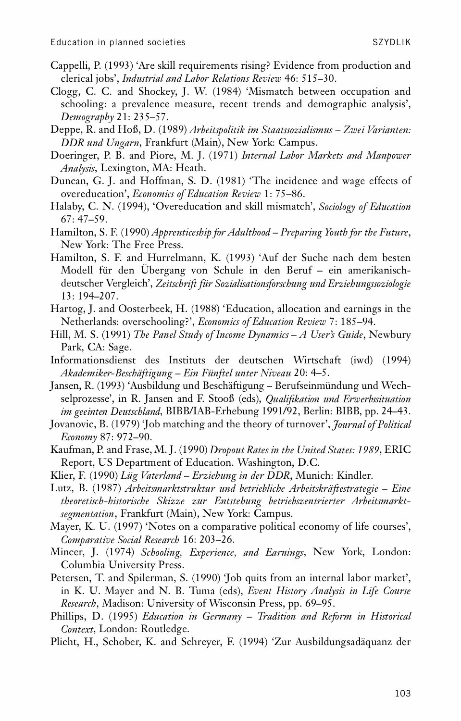- Cappelli, P. (1993) 'Are skill requirements rising? Evidence from production and clerical jobs', *Industrial and Labor Relations Review* 46: 515–30.
- Clogg, C. C. and Shockey, J. W. (1984) 'Mismatch between occupation and schooling: a prevalence measure, recent trends and demographic analysis', *Demography* 21: 235–57.
- Deppe, R. and Hoß, D. (1989) *Arbeitspolitik im Staatssozialismus – Zwei Varianten: DDR und Ungarn*, Frankfurt (Main), New York: Campus.
- Doeringer, P. B. and Piore, M. J. (1971) *Internal Labor Markets and Manpower Analysis*, Lexington, MA: Heath.
- Duncan, G. J. and Hoffman, S. D. (1981) 'The incidence and wage effects of overeducation', *Economics of Education Review* 1: 75–86.
- Halaby, C. N. (1994), 'Overeducation and skill mismatch', *Sociology of Education* 67: 47–59.
- Hamilton, S. F. (1990) *Apprenticeship for Adulthood – Preparing Youth for the Future*, New York: The Free Press.
- Hamilton, S. F. and Hurrelmann, K. (1993) 'Auf der Suche nach dem besten Modell für den Übergang von Schule in den Beruf – ein amerikanisch deutscher Vergleich', *Zeitschrift für Sozialisationsforschung und Erziehungssoziologie* 13: 194–207.
- Hartog, J. and Oosterbeek, H. (1988) 'Education, allocation and earnings in the Netherlands: overschooling?', *Economics of Education Review* 7: 185–94.
- Hill, M. S. (1991) *The Panel Study of Income Dynamics – A User's Guide*, Newbury Park, CA: Sage.
- Informationsdienst des Instituts der deutschen Wirtschaft (iwd) (1994) *Akademiker-Beschäftigung – Ein Fünftel unter Niveau* 20: 4–5.
- Jansen, R. (1993) 'Ausbildung und Beschäftigung Berufseinmündung und Wechselprozesse', in R. Jansen and F. Stooß (eds), *Qualikation und Erwerbssituation im geeinten Deutschland*, BIBB/IAB-Erhebung 1991/92, Berlin: BIBB, pp. 24–43.
- Jovanovic, B. (1979) 'Job matching and the theory of turnover', *Journal of Political Economy* 87: 972–90.
- Kaufman, P. and Frase, M. J. (1990) *Dropout Rates in the United States: 1989*, ERIC Report, US Department of Education. Washington, D.C.
- Klier, F. (1990) *Lüg Vaterland – Erziehung in der DDR*, Munich: Kindler.
- Lutz, B. (1987) *Arbeitsmarktstruktur und betriebliche Arbeitskräftestrategie – Eine theoretisch-historische Skizze zur Entstehung betriebszentrierter Arbeitsmarktsegmentation*, Frankfurt (Main), New York: Campus.
- Mayer, K. U. (1997) 'Notes on a comparative political economy of life courses', *Comparative Social Research* 16: 203–26.
- Mincer, J. (1974) *Schooling, Experience, and Earnings*, New York, London: Columbia University Press.
- Petersen, T. and Spilerman, S. (1990) 'Job quits from an internal labor market', in K. U. Mayer and N. B. Tuma (eds), *Event History Analysis in Life Course Research*, Madison: University of Wisconsin Press, pp. 69–95.
- Phillips, D. (1995) *Education in Germany – Tradition and Reform in Historical Context*, London: Routledge.
- Plicht, H., Schober, K. and Schreyer, F. (1994) 'Zur Ausbildungsadäquanz der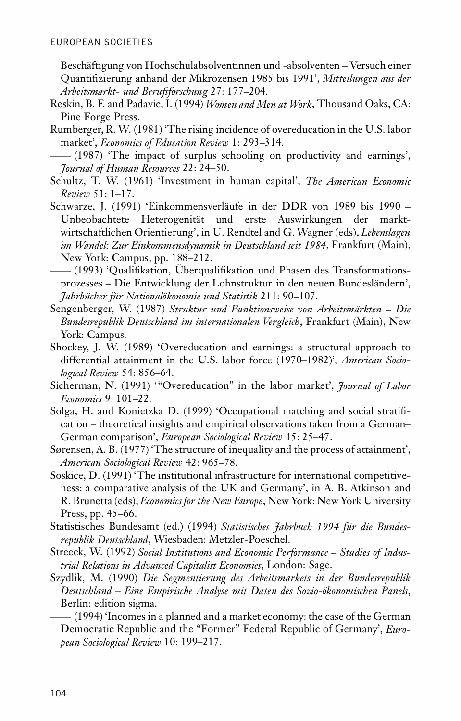Beschäftigung von Hochschulabsolventinnen und -absolventen – Versuch einer Quantizierung anhand der Mikrozensen 1985 bis 1991', *Mitteilungen aus der Arbeitsmarkt- und Berufsforschung* 27: 177–204.

- Reskin, B. F. and Padavic, I. (1994) *Women and Men at Work*, Thousand Oaks, CA: Pine Forge Press.
- Rumberger, R. W. (1981) 'The rising incidence of overeducation in the U.S. labor market', *Economics of Education Review* 1: 293–314.

—— (1987) 'The impact of surplus schooling on productivity and earnings', *Journal of Human Resources* 22: 24–50.

- Schultz, T. W. (1961) 'Investment in human capital', *The American Economic Review* 51: 1–17.
- Schwarze, J. (1991) 'Einkommensverläufe in der DDR von 1989 bis 1990 Unbeobachtete Heterogenität und erste Auswirkungen der markt wirtschaftlichen Orientierung', in U. Rendtel and G. Wagner (eds), *Lebenslagen im Wandel: Zur Einkommensdynamik in Deutschland seit 1984*, Frankfurt (Main), New York: Campus, pp. 188–212.

—— (1993) 'Qualikation, Überqualikation und Phasen des Transformations prozesses – Die Entwicklung der Lohnstruktur in den neuen Bundesländern', *Jahrbücher für Nationalökonomie und Statistik* 211: 90–107.

- Sengenberger, W. (1987) *Struktur und Funktionsweise von Arbeitsmärkten – Die Bundesrepublik Deutschland im internationalen Vergleich*, Frankfurt (Main), New York: Campus.
- Shockey, J. W. (1989) 'Overeducation and earnings: a structural approach to differential attainment in the U.S. labor force (1970–1982)', *American Sociological Review* 54: 856–64.
- Sicherman, N. (1991) '"Overeducation" in the labor market', *Journal of Labor Economics* 9: 101–22.
- Solga, H. and Konietzka D. (1999) 'Occupational matching and social stratification – theoretical insights and empirical observations taken from a German– German comparison', *European Sociological Review* 15: 25–47.
- Sørensen, A. B. (1977) 'The structure of inequality and the process of attainment', *American Sociological Review* 42: 965–78.
- Soskice, D. (1991) 'The institutional infrastructure for international competitive ness: a comparative analysis of the UK and Germany', in A. B. Atkinson and R. Brunetta (eds), *Economics for the New Europe*, New York: New York University Press, pp. 45–66.
- Statistisches Bundesamt (ed.) (1994) *Statistisches Jahrbuch 1994 für die Bundes republik Deutschland*, Wiesbaden: Metzler-Poeschel.
- Streeck, W. (1992) *Social Institutions and Economic Performance – Studies of Industrial Relations in Advanced Capitalist Economies*, London: Sage.
- Szydlik, M. (1990) *Die Segmentierung des Arbeitsmarkets in der Bundesrepublik Deutschland – Eine Empirische Analyse mit Daten des Sozio-ökonomischen Panels*, Berlin: edition sigma.

—— (1994) 'Incomes in a planned and a market economy: the case of the German Democratic Republic and the "Former" Federal Republic of Germany', *European Sociological Review* 10: 199–217.